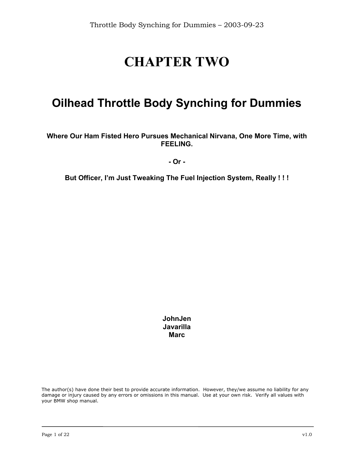# **CHAPTER TWO**

# **Oilhead Throttle Body Synching for Dummies**

#### **Where Our Ham Fisted Hero Pursues Mechanical Nirvana, One More Time, with FEELING.**

**- Or -** 

**But Officer, I'm Just Tweaking The Fuel Injection System, Really ! ! !** 

**JohnJen Javarilla Marc** 

The author(s) have done their best to provide accurate information. However, they/we assume no liability for any damage or injury caused by any errors or omissions in this manual. Use at your own risk. Verify all values with your BMW shop manual.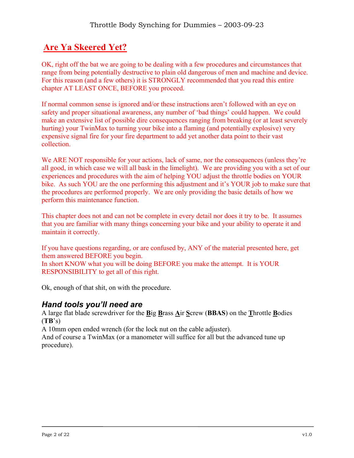# **Are Ya Skeered Yet?**

OK, right off the bat we are going to be dealing with a few procedures and circumstances that range from being potentially destructive to plain old dangerous of men and machine and device. For this reason (and a few others) it is STRONGLY recommended that you read this entire chapter AT LEAST ONCE, BEFORE you proceed.

If normal common sense is ignored and/or these instructions aren't followed with an eye on safety and proper situational awareness, any number of 'bad things' could happen. We could make an extensive list of possible dire consequences ranging from breaking (or at least severely hurting) your TwinMax to turning your bike into a flaming (and potentially explosive) very expensive signal fire for your fire department to add yet another data point to their vast collection.

We ARE NOT responsible for your actions, lack of same, nor the consequences (unless they're all good, in which case we will all bask in the limelight). We are providing you with a set of our experiences and procedures with the aim of helping YOU adjust the throttle bodies on YOUR bike. As such YOU are the one performing this adjustment and it's YOUR job to make sure that the procedures are performed properly. We are only providing the basic details of how we perform this maintenance function.

This chapter does not and can not be complete in every detail nor does it try to be. It assumes that you are familiar with many things concerning your bike and your ability to operate it and maintain it correctly.

If you have questions regarding, or are confused by, ANY of the material presented here, get them answered BEFORE you begin.

In short KNOW what you will be doing BEFORE you make the attempt. It is YOUR RESPONSIBILITY to get all of this right.

Ok, enough of that shit, on with the procedure.

#### *Hand tools you'll need are*

A large flat blade screwdriver for the **B**ig **B**rass **A**ir **S**crew (**BBAS**) on the **T**hrottle **B**odies (**TB**'s)

A 10mm open ended wrench (for the lock nut on the cable adjuster).

And of course a TwinMax (or a manometer will suffice for all but the advanced tune up procedure).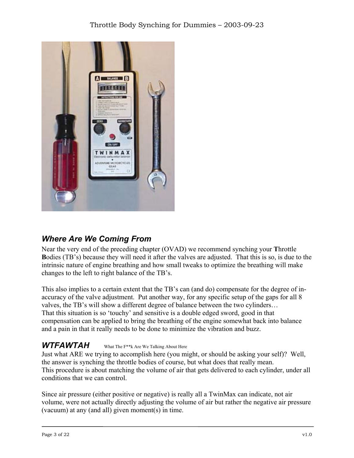

## *Where Are We Coming From*

Near the very end of the preceding chapter (OVAD) we recommend synching your **T**hrottle **B**odies (TB's) because they will need it after the valves are adjusted. That this is so, is due to the intrinsic nature of engine breathing and how small tweaks to optimize the breathing will make changes to the left to right balance of the TB's.

This also implies to a certain extent that the TB's can (and do) compensate for the degree of inaccuracy of the valve adjustment. Put another way, for any specific setup of the gaps for all 8 valves, the TB's will show a different degree of balance between the two cylinders… That this situation is so 'touchy' and sensitive is a double edged sword, good in that compensation can be applied to bring the breathing of the engine somewhat back into balance and a pain in that it really needs to be done to minimize the vibration and buzz.

#### *WTFAWTAH* What The F\*\*k Are We Talking About Here

Just what ARE we trying to accomplish here (you might, or should be asking your self)? Well, the answer is synching the throttle bodies of course, but what does that really mean. This procedure is about matching the volume of air that gets delivered to each cylinder, under all conditions that we can control.

Since air pressure (either positive or negative) is really all a TwinMax can indicate, not air volume, were not actually directly adjusting the volume of air but rather the negative air pressure (vacuum) at any (and all) given moment(s) in time.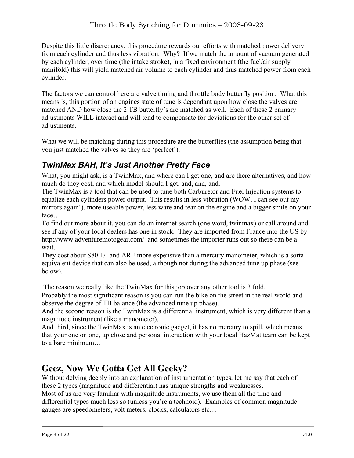Despite this little discrepancy, this procedure rewards our efforts with matched power delivery from each cylinder and thus less vibration. Why? If we match the amount of vacuum generated by each cylinder, over time (the intake stroke), in a fixed environment (the fuel/air supply manifold) this will yield matched air volume to each cylinder and thus matched power from each cylinder.

The factors we can control here are valve timing and throttle body butterfly position. What this means is, this portion of an engines state of tune is dependant upon how close the valves are matched AND how close the 2 TB butterfly's are matched as well. Each of these 2 primary adjustments WILL interact and will tend to compensate for deviations for the other set of adjustments.

What we will be matching during this procedure are the butterflies (the assumption being that you just matched the valves so they are 'perfect').

## *TwinMax BAH, It's Just Another Pretty Face*

What, you might ask, is a TwinMax, and where can I get one, and are there alternatives, and how much do they cost, and which model should I get, and, and, and.

The TwinMax is a tool that can be used to tune both Carburetor and Fuel Injection systems to equalize each cylinders power output. This results in less vibration (WOW, I can see out my mirrors again!), more useable power, less ware and tear on the engine and a bigger smile on your face…

To find out more about it, you can do an internet search (one word, twinmax) or call around and see if any of your local dealers has one in stock. They are imported from France into the US by http://www.adventuremotogear.com/ and sometimes the importer runs out so there can be a wait.

They cost about \$80 +/- and ARE more expensive than a mercury manometer, which is a sorta equivalent device that can also be used, although not during the advanced tune up phase (see below).

The reason we really like the TwinMax for this job over any other tool is 3 fold.

Probably the most significant reason is you can run the bike on the street in the real world and observe the degree of TB balance (the advanced tune up phase).

And the second reason is the TwinMax is a differential instrument, which is very different than a magnitude instrument (like a manometer).

And third, since the TwinMax is an electronic gadget, it has no mercury to spill, which means that your one on one, up close and personal interaction with your local HazMat team can be kept to a bare minimum…

# **Geez, Now We Gotta Get All Geeky?**

Without delving deeply into an explanation of instrumentation types, let me say that each of these 2 types (magnitude and differential) has unique strengths and weaknesses.

Most of us are very familiar with magnitude instruments, we use them all the time and differential types much less so (unless you're a technoid). Examples of common magnitude gauges are speedometers, volt meters, clocks, calculators etc…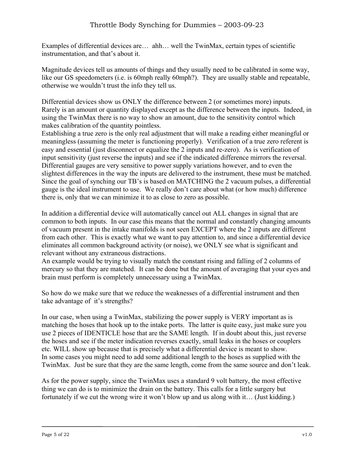Examples of differential devices are… ahh… well the TwinMax, certain types of scientific instrumentation, and that's about it.

Magnitude devices tell us amounts of things and they usually need to be calibrated in some way, like our GS speedometers (i.e. is 60mph really 60mph?). They are usually stable and repeatable, otherwise we wouldn't trust the info they tell us.

Differential devices show us ONLY the difference between 2 (or sometimes more) inputs. Rarely is an amount or quantity displayed except as the difference between the inputs. Indeed, in using the TwinMax there is no way to show an amount, due to the sensitivity control which makes calibration of the quantity pointless.

Establishing a true zero is the only real adjustment that will make a reading either meaningful or meaningless (assuming the meter is functioning properly). Verification of a true zero referent is easy and essential (just disconnect or equalize the 2 inputs and re-zero). As is verification of input sensitivity (just reverse the inputs) and see if the indicated difference mirrors the reversal. Differential gauges are very sensitive to power supply variations however, and to even the slightest differences in the way the inputs are delivered to the instrument, these must be matched. Since the goal of synching our TB's is based on MATCHING the 2 vacuum pulses, a differential gauge is the ideal instrument to use. We really don't care about what (or how much) difference there is, only that we can minimize it to as close to zero as possible.

In addition a differential device will automatically cancel out ALL changes in signal that are common to both inputs. In our case this means that the normal and constantly changing amounts of vacuum present in the intake manifolds is not seen EXCEPT where the 2 inputs are different from each other. This is exactly what we want to pay attention to, and since a differential device eliminates all common background activity (or noise), we ONLY see what is significant and relevant without any extraneous distractions.

An example would be trying to visually match the constant rising and falling of 2 columns of mercury so that they are matched. It can be done but the amount of averaging that your eyes and brain must perform is completely unnecessary using a TwinMax.

So how do we make sure that we reduce the weaknesses of a differential instrument and then take advantage of it's strengths?

In our case, when using a TwinMax, stabilizing the power supply is VERY important as is matching the hoses that hook up to the intake ports. The latter is quite easy, just make sure you use 2 pieces of IDENTICLE hose that are the SAME length. If in doubt about this, just reverse the hoses and see if the meter indication reverses exactly, small leaks in the hoses or couplers etc. WILL show up because that is precisely what a differential device is meant to show. In some cases you might need to add some additional length to the hoses as supplied with the TwinMax. Just be sure that they are the same length, come from the same source and don't leak.

As for the power supply, since the TwinMax uses a standard 9 volt battery, the most effective thing we can do is to minimize the drain on the battery. This calls for a little surgery but fortunately if we cut the wrong wire it won't blow up and us along with it… (Just kidding.)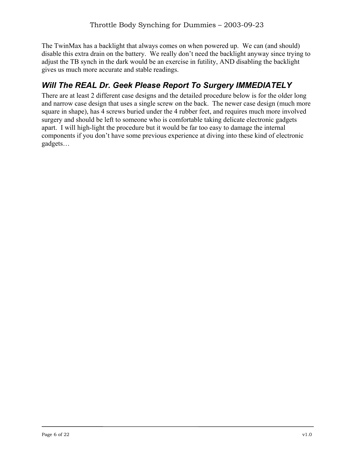The TwinMax has a backlight that always comes on when powered up. We can (and should) disable this extra drain on the battery. We really don't need the backlight anyway since trying to adjust the TB synch in the dark would be an exercise in futility, AND disabling the backlight gives us much more accurate and stable readings.

## *Will The REAL Dr. Geek Please Report To Surgery IMMEDIATELY*

There are at least 2 different case designs and the detailed procedure below is for the older long and narrow case design that uses a single screw on the back. The newer case design (much more square in shape), has 4 screws buried under the 4 rubber feet, and requires much more involved surgery and should be left to someone who is comfortable taking delicate electronic gadgets apart. I will high-light the procedure but it would be far too easy to damage the internal components if you don't have some previous experience at diving into these kind of electronic gadgets…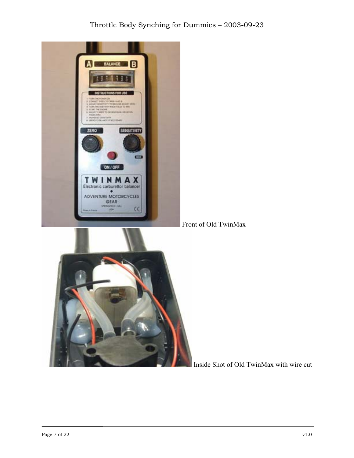#### Throttle Body Synching for Dummies – 2003-09-23



Inside Shot of Old TwinMax with wire cut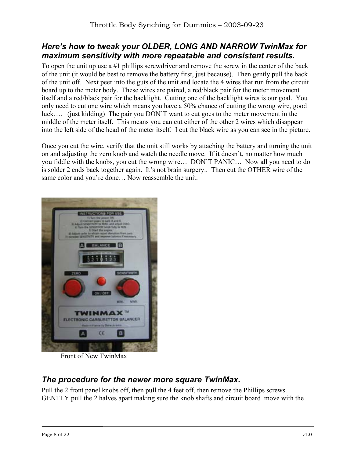#### *Here's how to tweak your OLDER, LONG AND NARROW TwinMax for maximum sensitivity with more repeatable and consistent results.*

To open the unit up use a #1 phillips screwdriver and remove the screw in the center of the back of the unit (it would be best to remove the battery first, just because). Then gently pull the back of the unit off. Next peer into the guts of the unit and locate the 4 wires that run from the circuit board up to the meter body. These wires are paired, a red/black pair for the meter movement itself and a red/black pair for the backlight. Cutting one of the backlight wires is our goal. You only need to cut one wire which means you have a 50% chance of cutting the wrong wire, good luck…. (just kidding) The pair you DON'T want to cut goes to the meter movement in the middle of the meter itself. This means you can cut either of the other 2 wires which disappear into the left side of the head of the meter itself. I cut the black wire as you can see in the picture.

Once you cut the wire, verify that the unit still works by attaching the battery and turning the unit on and adjusting the zero knob and watch the needle move. If it doesn't, no matter how much you fiddle with the knobs, you cut the wrong wire… DON'T PANIC… Now all you need to do is solder 2 ends back together again. It's not brain surgery.. Then cut the OTHER wire of the same color and you're done... Now reassemble the unit.



Front of New TwinMax

#### *The procedure for the newer more square TwinMax.*

Pull the 2 front panel knobs off, then pull the 4 feet off, then remove the Phillips screws. GENTLY pull the 2 halves apart making sure the knob shafts and circuit board move with the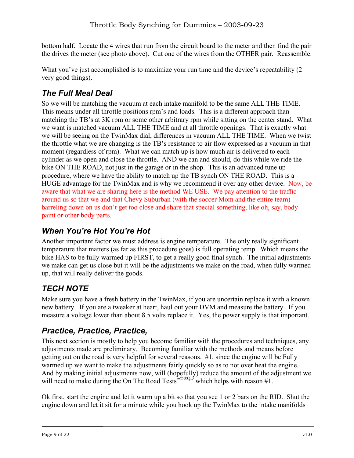bottom half. Locate the 4 wires that run from the circuit board to the meter and then find the pair the drives the meter (see photo above). Cut one of the wires from the OTHER pair. Reassemble.

What you've just accomplished is to maximize your run time and the device's repeatability (2) very good things).

# *The Full Meal Deal*

So we will be matching the vacuum at each intake manifold to be the same ALL THE TIME. This means under all throttle positions rpm's and loads. This is a different approach than matching the TB's at 3K rpm or some other arbitrary rpm while sitting on the center stand. What we want is matched vacuum ALL THE TIME and at all throttle openings. That is exactly what we will be seeing on the TwinMax dial, differences in vacuum ALL THE TIME. When we twist the throttle what we are changing is the TB's resistance to air flow expressed as a vacuum in that moment (regardless of rpm). What we can match up is how much air is delivered to each cylinder as we open and close the throttle. AND we can and should, do this while we ride the bike ON THE ROAD, not just in the garage or in the shop. This is an advanced tune up procedure, where we have the ability to match up the TB synch ON THE ROAD. This is a HUGE advantage for the TwinMax and is why we recommend it over any other device. Now, be aware that what we are sharing here is the method WE USE. We pay attention to the traffic around us so that we and that Chevy Suburban (with the soccer Mom and the entire team) barreling down on us don't get too close and share that special something, like oh, say, body paint or other body parts.

## *When You're Hot You're Hot*

Another important factor we must address is engine temperature. The only really significant temperature that matters (as far as this procedure goes) is full operating temp. Which means the bike HAS to be fully warmed up FIRST, to get a really good final synch. The initial adjustments we make can get us close but it will be the adjustments we make on the road, when fully warmed up, that will really deliver the goods.

# *TECH NOTE*

Make sure you have a fresh battery in the TwinMax, if you are uncertain replace it with a known new battery. If you are a tweaker at heart, haul out your DVM and measure the battery. If you measure a voltage lower than about 8.5 volts replace it. Yes, the power supply is that important.

## *Practice, Practice, Practice,*

This next section is mostly to help you become familiar with the procedures and techniques, any adjustments made are preliminary. Becoming familiar with the methods and means before getting out on the road is very helpful for several reasons. #1, since the engine will be Fully warmed up we want to make the adjustments fairly quickly so as to not over heat the engine. And by making initial adjustments now, will (hopefully) reduce the amount of the adjustment we will need to make during the On The Road Tests<sup>™©®QĐ</sup> which helps with reason #1.

Ok first, start the engine and let it warm up a bit so that you see 1 or 2 bars on the RID. Shut the engine down and let it sit for a minute while you hook up the TwinMax to the intake manifolds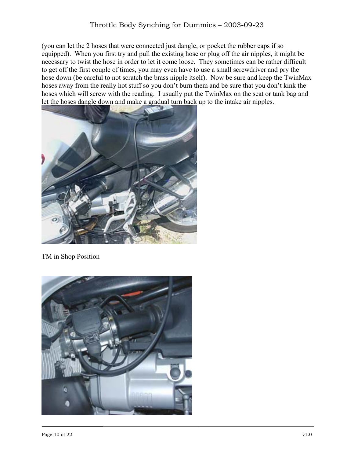(you can let the 2 hoses that were connected just dangle, or pocket the rubber caps if so equipped). When you first try and pull the existing hose or plug off the air nipples, it might be necessary to twist the hose in order to let it come loose. They sometimes can be rather difficult to get off the first couple of times, you may even have to use a small screwdriver and pry the hose down (be careful to not scratch the brass nipple itself). Now be sure and keep the TwinMax hoses away from the really hot stuff so you don't burn them and be sure that you don't kink the hoses which will screw with the reading. I usually put the TwinMax on the seat or tank bag and let the hoses dangle down and make a gradual turn back up to the intake air nipples.



TM in Shop Position

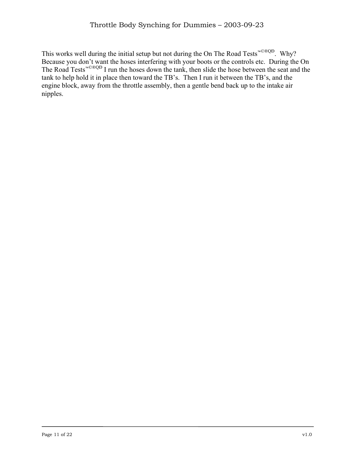This works well during the initial setup but not during the On The Road Tests™©®QÐ. Why? Because you don't want the hoses interfering with your boots or the controls etc. During the On The Road Tests™©®QÐ I run the hoses down the tank, then slide the hose between the seat and the tank to help hold it in place then toward the TB's. Then I run it between the TB's, and the engine block, away from the throttle assembly, then a gentle bend back up to the intake air nipples.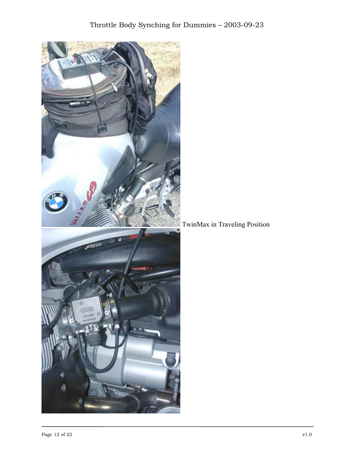

TwinMax in Traveling Position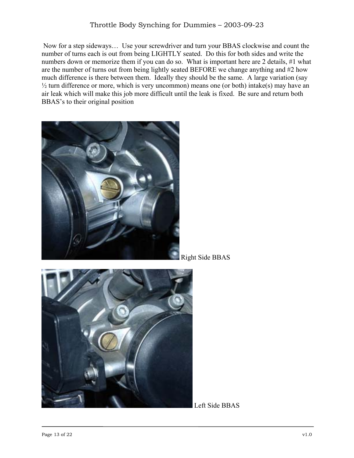Now for a step sideways… Use your screwdriver and turn your BBAS clockwise and count the number of turns each is out from being LIGHTLY seated. Do this for both sides and write the numbers down or memorize them if you can do so. What is important here are 2 details, #1 what are the number of turns out from being lightly seated BEFORE we change anything and #2 how much difference is there between them. Ideally they should be the same. A large variation (say  $\frac{1}{2}$  turn difference or more, which is very uncommon) means one (or both) intake(s) may have an air leak which will make this job more difficult until the leak is fixed. Be sure and return both BBAS's to their original position



Right Side BBAS



Left Side BBAS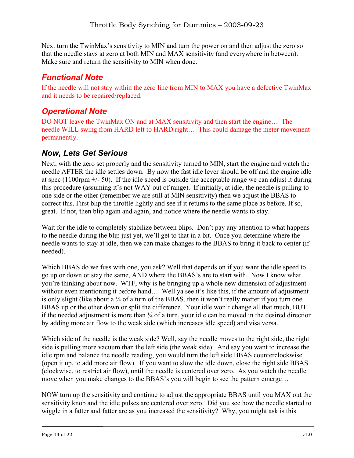Next turn the TwinMax's sensitivity to MIN and turn the power on and then adjust the zero so that the needle stays at zero at both MIN and MAX sensitivity (and everywhere in between). Make sure and return the sensitivity to MIN when done.

## *Functional Note*

If the needle will not stay within the zero line from MIN to MAX you have a defective TwinMax and it needs to be repaired/replaced.

## *Operational Note*

DO NOT leave the TwinMax ON and at MAX sensitivity and then start the engine… The needle WILL swing from HARD left to HARD right… This could damage the meter movement permanently.

#### *Now, Lets Get Serious*

Next, with the zero set properly and the sensitivity turned to MIN, start the engine and watch the needle AFTER the idle settles down. By now the fast idle lever should be off and the engine idle at spec  $(1100$ rpm  $+/- 50)$ . If the idle speed is outside the acceptable range we can adjust it during this procedure (assuming it's not WAY out of range). If initially, at idle, the needle is pulling to one side or the other (remember we are still at MIN sensitivity) then we adjust the BBAS to correct this. First blip the throttle lightly and see if it returns to the same place as before. If so, great. If not, then blip again and again, and notice where the needle wants to stay.

Wait for the idle to completely stabilize between blips. Don't pay any attention to what happens to the needle during the blip just yet, we'll get to that in a bit. Once you determine where the needle wants to stay at idle, then we can make changes to the BBAS to bring it back to center (if needed).

Which BBAS do we fuss with one, you ask? Well that depends on if you want the idle speed to go up or down or stay the same, AND where the BBAS's are to start with. Now I know what you're thinking about now. WTF, why is he bringing up a whole new dimension of adjustment without even mentioning it before hand... Well ya see it's like this, if the amount of adjustment is only slight (like about a  $\frac{1}{4}$  of a turn of the BBAS, then it won't really matter if you turn one BBAS up or the other down or split the difference. Your idle won't change all that much, BUT if the needed adjustment is more than  $\frac{1}{4}$  of a turn, your idle can be moved in the desired direction by adding more air flow to the weak side (which increases idle speed) and visa versa.

Which side of the needle is the weak side? Well, say the needle moves to the right side, the right side is pulling more vacuum than the left side (the weak side). And say you want to increase the idle rpm and balance the needle reading, you would turn the left side BBAS counterclockwise (open it up, to add more air flow). If you want to slow the idle down, close the right side BBAS (clockwise, to restrict air flow), until the needle is centered over zero. As you watch the needle move when you make changes to the BBAS's you will begin to see the pattern emerge…

NOW turn up the sensitivity and continue to adjust the appropriate BBAS until you MAX out the sensitivity knob and the idle pulses are centered over zero. Did you see how the needle started to wiggle in a fatter and fatter arc as you increased the sensitivity? Why, you might ask is this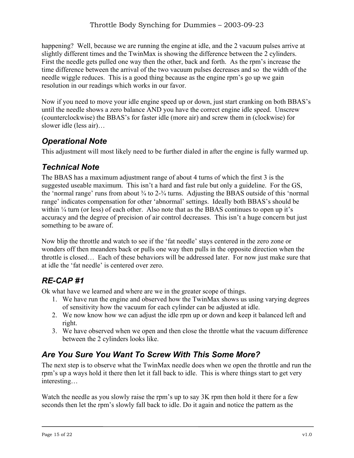happening? Well, because we are running the engine at idle, and the 2 vacuum pulses arrive at slightly different times and the TwinMax is showing the difference between the 2 cylinders. First the needle gets pulled one way then the other, back and forth. As the rpm's increase the time difference between the arrival of the two vacuum pulses decreases and so the width of the needle wiggle reduces. This is a good thing because as the engine rpm's go up we gain resolution in our readings which works in our favor.

Now if you need to move your idle engine speed up or down, just start cranking on both BBAS's until the needle shows a zero balance AND you have the correct engine idle speed. Unscrew (counterclockwise) the BBAS's for faster idle (more air) and screw them in (clockwise) for slower idle (less air)…

## *Operational Note*

This adjustment will most likely need to be further dialed in after the engine is fully warmed up.

## *Technical Note*

The BBAS has a maximum adjustment range of about 4 turns of which the first 3 is the suggested useable maximum. This isn't a hard and fast rule but only a guideline. For the GS, the 'normal range' runs from about  $\frac{3}{4}$  to  $2\frac{3}{4}$  turns. Adjusting the BBAS outside of this 'normal range' indicates compensation for other 'abnormal' settings. Ideally both BBAS's should be within <sup>1/4</sup> turn (or less) of each other. Also note that as the BBAS continues to open up it's accuracy and the degree of precision of air control decreases. This isn't a huge concern but just something to be aware of.

Now blip the throttle and watch to see if the 'fat needle' stays centered in the zero zone or wonders off then meanders back or pulls one way then pulls in the opposite direction when the throttle is closed… Each of these behaviors will be addressed later. For now just make sure that at idle the 'fat needle' is centered over zero.

# *RE-CAP #1*

Ok what have we learned and where are we in the greater scope of things.

- 1. We have run the engine and observed how the TwinMax shows us using varying degrees of sensitivity how the vacuum for each cylinder can be adjusted at idle.
- 2. We now know how we can adjust the idle rpm up or down and keep it balanced left and right.
- 3. We have observed when we open and then close the throttle what the vacuum difference between the 2 cylinders looks like.

# *Are You Sure You Want To Screw With This Some More?*

The next step is to observe what the TwinMax needle does when we open the throttle and run the rpm's up a ways hold it there then let it fall back to idle. This is where things start to get very interesting…

Watch the needle as you slowly raise the rpm's up to say 3K rpm then hold it there for a few seconds then let the rpm's slowly fall back to idle. Do it again and notice the pattern as the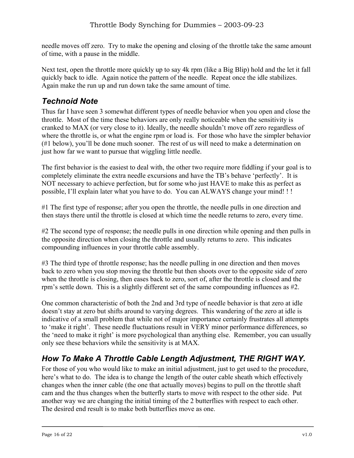needle moves off zero. Try to make the opening and closing of the throttle take the same amount of time, with a pause in the middle.

Next test, open the throttle more quickly up to say 4k rpm (like a Big Blip) hold and the let it fall quickly back to idle. Again notice the pattern of the needle. Repeat once the idle stabilizes. Again make the run up and run down take the same amount of time.

#### *Technoid Note*

Thus far I have seen 3 somewhat different types of needle behavior when you open and close the throttle. Most of the time these behaviors are only really noticeable when the sensitivity is cranked to MAX (or very close to it). Ideally, the needle shouldn't move off zero regardless of where the throttle is, or what the engine rpm or load is. For those who have the simpler behavior (#1 below), you'll be done much sooner. The rest of us will need to make a determination on just how far we want to pursue that wiggling little needle.

The first behavior is the easiest to deal with, the other two require more fiddling if your goal is to completely eliminate the extra needle excursions and have the TB's behave 'perfectly'. It is NOT necessary to achieve perfection, but for some who just HAVE to make this as perfect as possible, I'll explain later what you have to do. You can ALWAYS change your mind! ! !

#1 The first type of response; after you open the throttle, the needle pulls in one direction and then stays there until the throttle is closed at which time the needle returns to zero, every time.

#2 The second type of response; the needle pulls in one direction while opening and then pulls in the opposite direction when closing the throttle and usually returns to zero. This indicates compounding influences in your throttle cable assembly.

#3 The third type of throttle response; has the needle pulling in one direction and then moves back to zero when you stop moving the throttle but then shoots over to the opposite side of zero when the throttle is closing, then eases back to zero, sort of, after the throttle is closed and the rpm's settle down. This is a slightly different set of the same compounding influences as #2.

One common characteristic of both the 2nd and 3rd type of needle behavior is that zero at idle doesn't stay at zero but shifts around to varying degrees. This wandering of the zero at idle is indicative of a small problem that while not of major importance certainly frustrates all attempts to 'make it right'. These needle fluctuations result in VERY minor performance differences, so the 'need to make it right' is more psychological than anything else. Remember, you can usually only see these behaviors while the sensitivity is at MAX.

## *How To Make A Throttle Cable Length Adjustment, THE RIGHT WAY.*

For those of you who would like to make an initial adjustment, just to get used to the procedure, here's what to do. The idea is to change the length of the outer cable sheath which effectively changes when the inner cable (the one that actually moves) begins to pull on the throttle shaft cam and the thus changes when the butterfly starts to move with respect to the other side. Put another way we are changing the initial timing of the 2 butterflies with respect to each other. The desired end result is to make both butterflies move as one.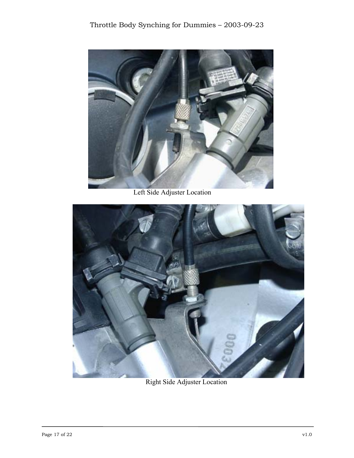

Left Side Adjuster Location



Right Side Adjuster Location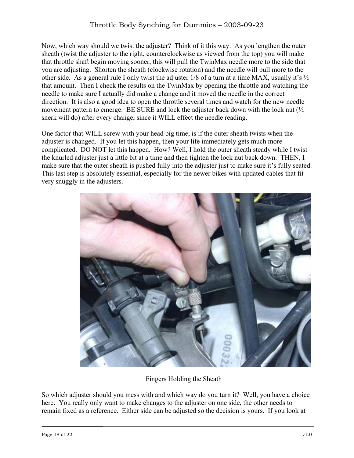Now, which way should we twist the adjuster? Think of it this way. As you lengthen the outer sheath (twist the adjuster to the right, counterclockwise as viewed from the top) you will make that throttle shaft begin moving sooner, this will pull the TwinMax needle more to the side that you are adjusting. Shorten the sheath (clockwise rotation) and the needle will pull more to the other side. As a general rule I only twist the adjuster  $1/8$  of a turn at a time MAX, usually it's  $\frac{1}{2}$ that amount. Then I check the results on the TwinMax by opening the throttle and watching the needle to make sure I actually did make a change and it moved the needle in the correct direction. It is also a good idea to open the throttle several times and watch for the new needle movement pattern to emerge. BE SURE and lock the adjuster back down with the lock nut  $\frac{1}{2}$ snerk will do) after every change, since it WILL effect the needle reading.

One factor that WILL screw with your head big time, is if the outer sheath twists when the adjuster is changed. If you let this happen, then your life immediately gets much more complicated. DO NOT let this happen. How? Well, I hold the outer sheath steady while I twist the knurled adjuster just a little bit at a time and then tighten the lock nut back down. THEN, I make sure that the outer sheath is pushed fully into the adjuster just to make sure it's fully seated. This last step is absolutely essential, especially for the newer bikes with updated cables that fit very snuggly in the adjusters.



Fingers Holding the Sheath

So which adjuster should you mess with and which way do you turn it? Well, you have a choice here. You really only want to make changes to the adjuster on one side, the other needs to remain fixed as a reference. Either side can be adjusted so the decision is yours. If you look at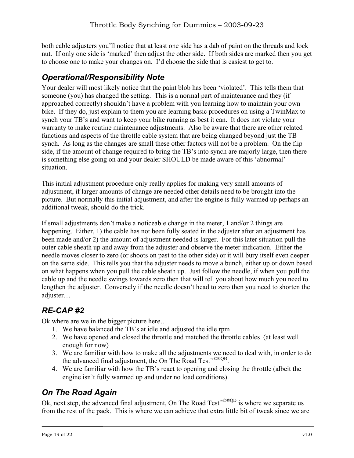both cable adjusters you'll notice that at least one side has a dab of paint on the threads and lock nut. If only one side is 'marked' then adjust the other side. If both sides are marked then you get to choose one to make your changes on. I'd choose the side that is easiest to get to.

#### *Operational/Responsibility Note*

Your dealer will most likely notice that the paint blob has been 'violated'. This tells them that someone (you) has changed the setting. This is a normal part of maintenance and they (if approached correctly) shouldn't have a problem with you learning how to maintain your own bike. If they do, just explain to them you are learning basic procedures on using a TwinMax to synch your TB's and want to keep your bike running as best it can. It does not violate your warranty to make routine maintenance adjustments. Also be aware that there are other related functions and aspects of the throttle cable system that are being changed beyond just the TB synch. As long as the changes are small these other factors will not be a problem. On the flip side, if the amount of change required to bring the TB's into synch are majorly large, then there is something else going on and your dealer SHOULD be made aware of this 'abnormal' situation.

This initial adjustment procedure only really applies for making very small amounts of adjustment, if larger amounts of change are needed other details need to be brought into the picture. But normally this initial adjustment, and after the engine is fully warmed up perhaps an additional tweak, should do the trick.

If small adjustments don't make a noticeable change in the meter, 1 and/or 2 things are happening. Either, 1) the cable has not been fully seated in the adjuster after an adjustment has been made and/or 2) the amount of adjustment needed is larger. For this later situation pull the outer cable sheath up and away from the adjuster and observe the meter indication. Either the needle moves closer to zero (or shoots on past to the other side) or it will bury itself even deeper on the same side. This tells you that the adjuster needs to move a bunch, either up or down based on what happens when you pull the cable sheath up. Just follow the needle, if when you pull the cable up and the needle swings towards zero then that will tell you about how much you need to lengthen the adjuster. Conversely if the needle doesn't head to zero then you need to shorten the adjuster…

## *RE-CAP #2*

Ok where are we in the bigger picture here…

- 1. We have balanced the TB's at idle and adjusted the idle rpm
- 2. We have opened and closed the throttle and matched the throttle cables (at least well enough for now)
- 3. We are familiar with how to make all the adjustments we need to deal with, in order to do the advanced final adjustment, the On The Road Test™©®QÐ.
- 4. We are familiar with how the TB's react to opening and closing the throttle (albeit the engine isn't fully warmed up and under no load conditions).

## *On The Road Again*

Ok, next step, the advanced final adjustment, On The Road Test™©®QÐ is where we separate us from the rest of the pack. This is where we can achieve that extra little bit of tweak since we are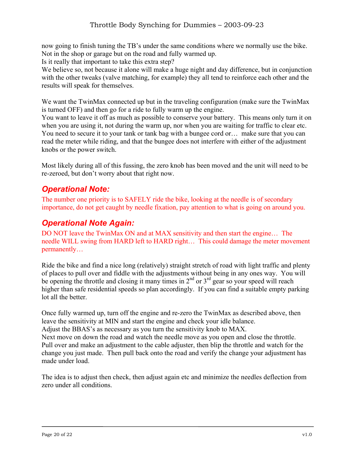now going to finish tuning the TB's under the same conditions where we normally use the bike. Not in the shop or garage but on the road and fully warmed up.

Is it really that important to take this extra step?

We believe so, not because it alone will make a huge night and day difference, but in conjunction with the other tweaks (valve matching, for example) they all tend to reinforce each other and the results will speak for themselves.

We want the TwinMax connected up but in the traveling configuration (make sure the TwinMax is turned OFF) and then go for a ride to fully warm up the engine.

You want to leave it off as much as possible to conserve your battery. This means only turn it on when you are using it, not during the warm up, nor when you are waiting for traffic to clear etc. You need to secure it to your tank or tank bag with a bungee cord or… make sure that you can read the meter while riding, and that the bungee does not interfere with either of the adjustment knobs or the power switch.

Most likely during all of this fussing, the zero knob has been moved and the unit will need to be re-zeroed, but don't worry about that right now.

#### *Operational Note:*

The number one priority is to SAFELY ride the bike, looking at the needle is of secondary importance, do not get caught by needle fixation, pay attention to what is going on around you.

#### *Operational Note Again:*

DO NOT leave the TwinMax ON and at MAX sensitivity and then start the engine… The needle WILL swing from HARD left to HARD right… This could damage the meter movement permanently…

Ride the bike and find a nice long (relatively) straight stretch of road with light traffic and plenty of places to pull over and fiddle with the adjustments without being in any ones way. You will be opening the throttle and closing it many times in  $2<sup>nd</sup>$  or  $3<sup>rd</sup>$  gear so your speed will reach higher than safe residential speeds so plan accordingly. If you can find a suitable empty parking lot all the better.

Once fully warmed up, turn off the engine and re-zero the TwinMax as described above, then leave the sensitivity at MIN and start the engine and check your idle balance. Adjust the BBAS's as necessary as you turn the sensitivity knob to MAX. Next move on down the road and watch the needle move as you open and close the throttle. Pull over and make an adjustment to the cable adjuster, then blip the throttle and watch for the change you just made. Then pull back onto the road and verify the change your adjustment has made under load.

The idea is to adjust then check, then adjust again etc and minimize the needles deflection from zero under all conditions.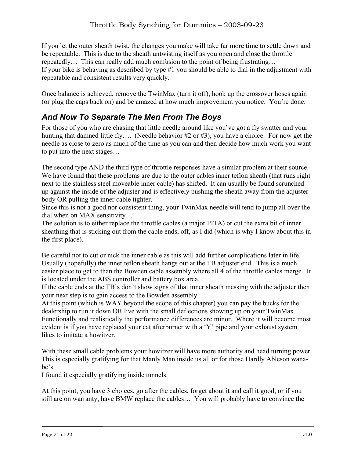If you let the outer sheath twist, the changes you make will take far more time to settle down and be repeatable. This is due to the sheath untwisting itself as you open and close the throttle repeatedly… This can really add much confusion to the point of being frustrating… If your bike is behaving as described by type #1 you should be able to dial in the adjustment with repeatable and consistent results very quickly.

Once balance is achieved, remove the TwinMax (turn it off), hook up the crossover hoses again (or plug the caps back on) and be amazed at how much improvement you notice. You're done.

## *And Now To Separate The Men From The Boys*

For those of you who are chasing that little needle around like you've got a fly swatter and your hunting that damned little fly…. (Needle behavior #2 or #3), you have a choice. For now get the needle as close to zero as much of the time as you can and then decide how much work you want to put into the next stages…

The second type AND the third type of throttle responses have a similar problem at their source. We have found that these problems are due to the outer cables inner teflon sheath (that runs right) next to the stainless steel moveable inner cable) has shifted. It can usually be found scrunched up against the inside of the adjuster and is effectively pushing the sheath away from the adjuster body OR pulling the inner cable tighter.

Since this is not a good nor consistent thing, your TwinMax needle will tend to jump all over the dial when on MAX sensitivity…

The solution is to either replace the throttle cables (a major PITA) or cut the extra bit of inner sheathing that is sticking out from the cable ends, off, as I did (which is why I know about this in the first place).

Be careful not to cut or nick the inner cable as this will add further complications later in life. Usually (hopefully) the inner teflon sheath hangs out at the TB adjuster end. This is a much easier place to get to than the Bowden cable assembly where all 4 of the throttle cables merge. It is located under the ABS controller and battery box area.

If the cable ends at the TB's don't show signs of that inner sheath messing with the adjuster then your next step is to gain access to the Bowden assembly.

At this point (which is WAY beyond the scope of this chapter) you can pay the bucks for the dealership to run it down OR live with the small deflections showing up on your TwinMax. Functionally and realistically the performance differences are minor. Where it will become most evident is if you have replaced your cat afterburner with a 'Y' pipe and your exhaust system likes to imitate a howitzer.

With these small cable problems your howitzer will have more authority and head turning power. This is especially gratifying for that Manly Man inside us all or for those Hardly Ableson wanabe's.

I found it especially gratifying inside tunnels.

At this point, you have 3 choices, go after the cables, forget about it and call it good, or if you still are on warranty, have BMW replace the cables… You will probably have to convince the